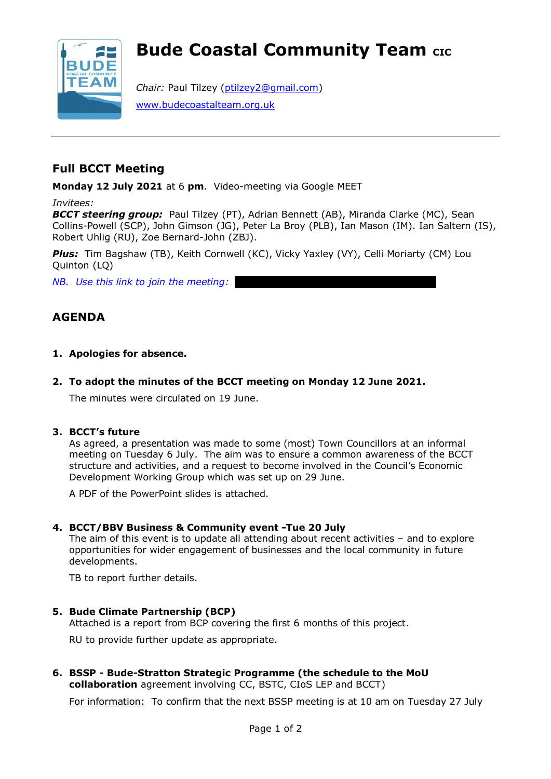# **Bude Coastal Community Team CIC**



*Chair:* Paul Tilzey [\(ptilzey2@gmail.com\)](mailto:ptilzey2@gmail.com) [www.budecoastalteam.org.uk](http://www.budecoastalteam.org.uk/)

# **Full BCCT Meeting**

**Monday 12 July 2021** at 6 **pm**. Video-meeting via Google MEET

*Invitees:*

*BCCT steering group:* Paul Tilzey (PT), Adrian Bennett (AB), Miranda Clarke (MC), Sean Collins-Powell (SCP), John Gimson (JG), Peter La Broy (PLB), Ian Mason (IM). Ian Saltern (IS), Robert Uhlig (RU), Zoe Bernard-John (ZBJ).

*Plus:* Tim Bagshaw (TB), Keith Cornwell (KC), Vicky Yaxley (VY), Celli Moriarty (CM) Lou Quinton (LQ)

*NB. Use this link to join the meeting:* 

# **AGENDA**

- **1. Apologies for absence.**
- **2. To adopt the minutes of the BCCT meeting on Monday 12 June 2021.**

The minutes were circulated on 19 June.

# **3. BCCT's future**

As agreed, a presentation was made to some (most) Town Councillors at an informal meeting on Tuesday 6 July. The aim was to ensure a common awareness of the BCCT structure and activities, and a request to become involved in the Council's Economic Development Working Group which was set up on 29 June.

A PDF of the PowerPoint slides is attached.

# **4. BCCT/BBV Business & Community event -Tue 20 July**

The aim of this event is to update all attending about recent activities – and to explore opportunities for wider engagement of businesses and the local community in future developments.

TB to report further details.

# **5. Bude Climate Partnership (BCP)**

Attached is a report from BCP covering the first 6 months of this project.

RU to provide further update as appropriate.

**6. BSSP - Bude-Stratton Strategic Programme (the schedule to the MoU collaboration** agreement involving CC, BSTC, CIoS LEP and BCCT)

For information: To confirm that the next BSSP meeting is at 10 am on Tuesday 27 July